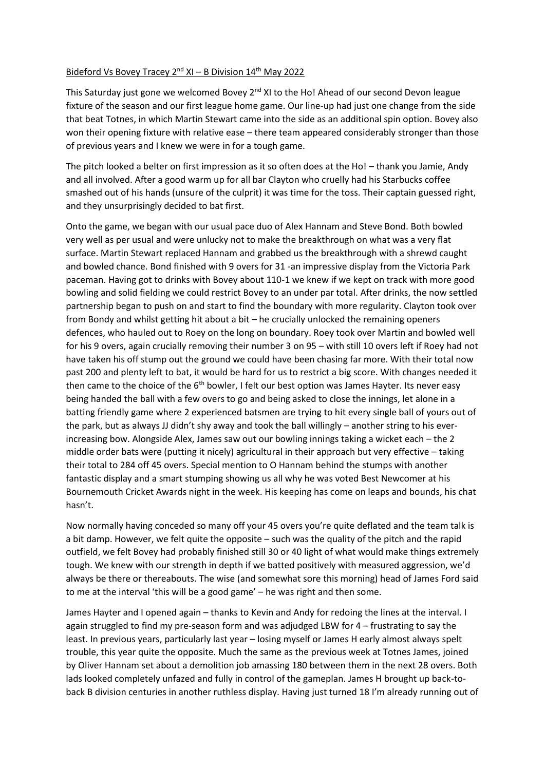## Bideford Vs Bovey Tracey  $2^{nd}$  XI – B Division  $14^{th}$  May 2022

This Saturday just gone we welcomed Bovey 2<sup>nd</sup> XI to the Ho! Ahead of our second Devon league fixture of the season and our first league home game. Our line-up had just one change from the side that beat Totnes, in which Martin Stewart came into the side as an additional spin option. Bovey also won their opening fixture with relative ease – there team appeared considerably stronger than those of previous years and I knew we were in for a tough game.

The pitch looked a belter on first impression as it so often does at the Ho! – thank you Jamie, Andy and all involved. After a good warm up for all bar Clayton who cruelly had his Starbucks coffee smashed out of his hands (unsure of the culprit) it was time for the toss. Their captain guessed right, and they unsurprisingly decided to bat first.

Onto the game, we began with our usual pace duo of Alex Hannam and Steve Bond. Both bowled very well as per usual and were unlucky not to make the breakthrough on what was a very flat surface. Martin Stewart replaced Hannam and grabbed us the breakthrough with a shrewd caught and bowled chance. Bond finished with 9 overs for 31 -an impressive display from the Victoria Park paceman. Having got to drinks with Bovey about 110-1 we knew if we kept on track with more good bowling and solid fielding we could restrict Bovey to an under par total. After drinks, the now settled partnership began to push on and start to find the boundary with more regularity. Clayton took over from Bondy and whilst getting hit about a bit – he crucially unlocked the remaining openers defences, who hauled out to Roey on the long on boundary. Roey took over Martin and bowled well for his 9 overs, again crucially removing their number 3 on 95 – with still 10 overs left if Roey had not have taken his off stump out the ground we could have been chasing far more. With their total now past 200 and plenty left to bat, it would be hard for us to restrict a big score. With changes needed it then came to the choice of the 6<sup>th</sup> bowler, I felt our best option was James Hayter. Its never easy being handed the ball with a few overs to go and being asked to close the innings, let alone in a batting friendly game where 2 experienced batsmen are trying to hit every single ball of yours out of the park, but as always JJ didn't shy away and took the ball willingly – another string to his everincreasing bow. Alongside Alex, James saw out our bowling innings taking a wicket each – the 2 middle order bats were (putting it nicely) agricultural in their approach but very effective – taking their total to 284 off 45 overs. Special mention to O Hannam behind the stumps with another fantastic display and a smart stumping showing us all why he was voted Best Newcomer at his Bournemouth Cricket Awards night in the week. His keeping has come on leaps and bounds, his chat hasn't.

Now normally having conceded so many off your 45 overs you're quite deflated and the team talk is a bit damp. However, we felt quite the opposite – such was the quality of the pitch and the rapid outfield, we felt Bovey had probably finished still 30 or 40 light of what would make things extremely tough. We knew with our strength in depth if we batted positively with measured aggression, we'd always be there or thereabouts. The wise (and somewhat sore this morning) head of James Ford said to me at the interval 'this will be a good game' – he was right and then some.

James Hayter and I opened again – thanks to Kevin and Andy for redoing the lines at the interval. I again struggled to find my pre-season form and was adjudged LBW for 4 – frustrating to say the least. In previous years, particularly last year – losing myself or James H early almost always spelt trouble, this year quite the opposite. Much the same as the previous week at Totnes James, joined by Oliver Hannam set about a demolition job amassing 180 between them in the next 28 overs. Both lads looked completely unfazed and fully in control of the gameplan. James H brought up back-toback B division centuries in another ruthless display. Having just turned 18 I'm already running out of